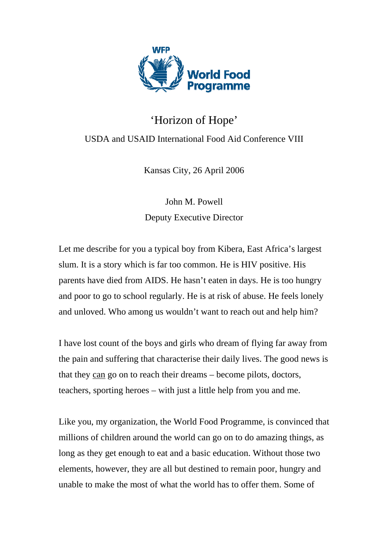

## 'Horizon of Hope' USDA and USAID International Food Aid Conference VIII

Kansas City, 26 April 2006

John M. Powell Deputy Executive Director

Let me describe for you a typical boy from Kibera, East Africa's largest slum. It is a story which is far too common. He is HIV positive. His parents have died from AIDS. He hasn't eaten in days. He is too hungry and poor to go to school regularly. He is at risk of abuse. He feels lonely and unloved. Who among us wouldn't want to reach out and help him?

I have lost count of the boys and girls who dream of flying far away from the pain and suffering that characterise their daily lives. The good news is that they can go on to reach their dreams – become pilots, doctors, teachers, sporting heroes – with just a little help from you and me.

Like you, my organization, the World Food Programme, is convinced that millions of children around the world can go on to do amazing things, as long as they get enough to eat and a basic education. Without those two elements, however, they are all but destined to remain poor, hungry and unable to make the most of what the world has to offer them. Some of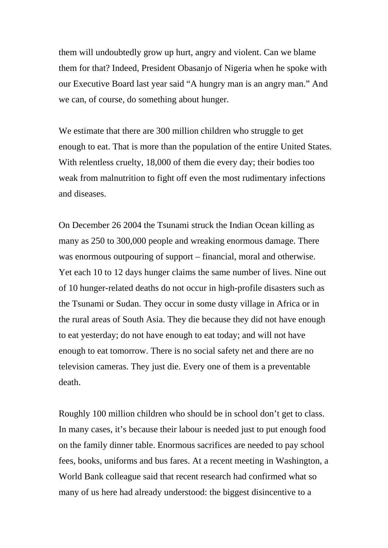them will undoubtedly grow up hurt, angry and violent. Can we blame them for that? Indeed, President Obasanjo of Nigeria when he spoke with our Executive Board last year said "A hungry man is an angry man." And we can, of course, do something about hunger.

We estimate that there are 300 million children who struggle to get enough to eat. That is more than the population of the entire United States. With relentless cruelty, 18,000 of them die every day; their bodies too weak from malnutrition to fight off even the most rudimentary infections and diseases.

On December 26 2004 the Tsunami struck the Indian Ocean killing as many as 250 to 300,000 people and wreaking enormous damage. There was enormous outpouring of support – financial, moral and otherwise. Yet each 10 to 12 days hunger claims the same number of lives. Nine out of 10 hunger-related deaths do not occur in high-profile disasters such as the Tsunami or Sudan. They occur in some dusty village in Africa or in the rural areas of South Asia. They die because they did not have enough to eat yesterday; do not have enough to eat today; and will not have enough to eat tomorrow. There is no social safety net and there are no television cameras. They just die. Every one of them is a preventable death.

Roughly 100 million children who should be in school don't get to class. In many cases, it's because their labour is needed just to put enough food on the family dinner table. Enormous sacrifices are needed to pay school fees, books, uniforms and bus fares. At a recent meeting in Washington, a World Bank colleague said that recent research had confirmed what so many of us here had already understood: the biggest disincentive to a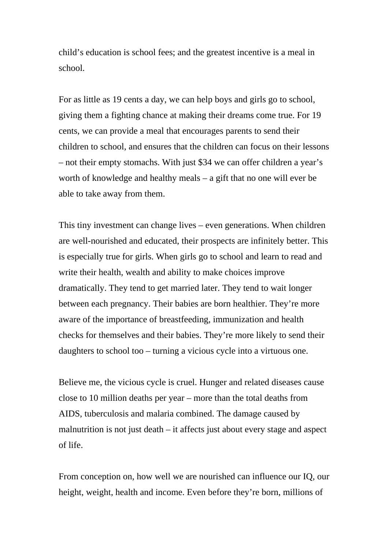child's education is school fees; and the greatest incentive is a meal in school.

For as little as 19 cents a day, we can help boys and girls go to school, giving them a fighting chance at making their dreams come true. For 19 cents, we can provide a meal that encourages parents to send their children to school, and ensures that the children can focus on their lessons – not their empty stomachs. With just \$34 we can offer children a year's worth of knowledge and healthy meals – a gift that no one will ever be able to take away from them.

This tiny investment can change lives – even generations. When children are well-nourished and educated, their prospects are infinitely better. This is especially true for girls. When girls go to school and learn to read and write their health, wealth and ability to make choices improve dramatically. They tend to get married later. They tend to wait longer between each pregnancy. Their babies are born healthier. They're more aware of the importance of breastfeeding, immunization and health checks for themselves and their babies. They're more likely to send their daughters to school too – turning a vicious cycle into a virtuous one.

Believe me, the vicious cycle is cruel. Hunger and related diseases cause close to 10 million deaths per year – more than the total deaths from AIDS, tuberculosis and malaria combined. The damage caused by malnutrition is not just death – it affects just about every stage and aspect of life.

From conception on, how well we are nourished can influence our IQ, our height, weight, health and income. Even before they're born, millions of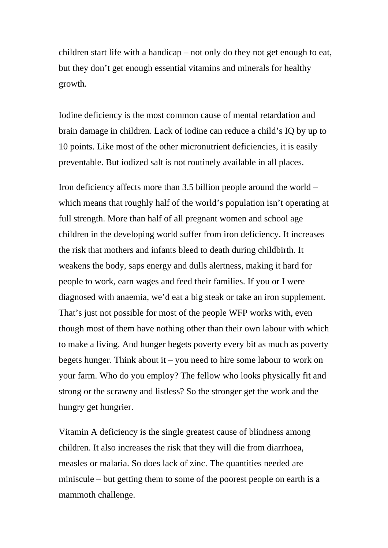children start life with a handicap – not only do they not get enough to eat, but they don't get enough essential vitamins and minerals for healthy growth.

Iodine deficiency is the most common cause of mental retardation and brain damage in children. Lack of iodine can reduce a child's IQ by up to 10 points. Like most of the other micronutrient deficiencies, it is easily preventable. But iodized salt is not routinely available in all places.

Iron deficiency affects more than 3.5 billion people around the world – which means that roughly half of the world's population isn't operating at full strength. More than half of all pregnant women and school age children in the developing world suffer from iron deficiency. It increases the risk that mothers and infants bleed to death during childbirth. It weakens the body, saps energy and dulls alertness, making it hard for people to work, earn wages and feed their families. If you or I were diagnosed with anaemia, we'd eat a big steak or take an iron supplement. That's just not possible for most of the people WFP works with, even though most of them have nothing other than their own labour with which to make a living. And hunger begets poverty every bit as much as poverty begets hunger. Think about it – you need to hire some labour to work on your farm. Who do you employ? The fellow who looks physically fit and strong or the scrawny and listless? So the stronger get the work and the hungry get hungrier.

Vitamin A deficiency is the single greatest cause of blindness among children. It also increases the risk that they will die from diarrhoea, measles or malaria. So does lack of zinc. The quantities needed are miniscule – but getting them to some of the poorest people on earth is a mammoth challenge.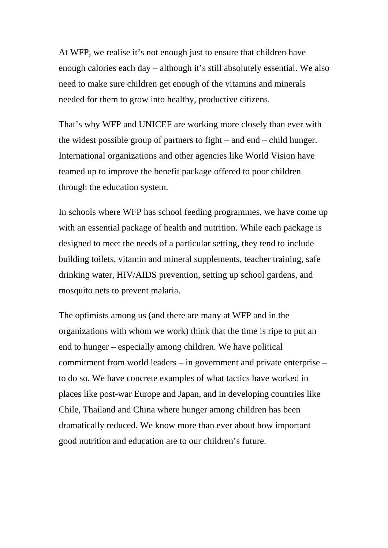At WFP, we realise it's not enough just to ensure that children have enough calories each day – although it's still absolutely essential. We also need to make sure children get enough of the vitamins and minerals needed for them to grow into healthy, productive citizens.

That's why WFP and UNICEF are working more closely than ever with the widest possible group of partners to fight – and end – child hunger. International organizations and other agencies like World Vision have teamed up to improve the benefit package offered to poor children through the education system.

In schools where WFP has school feeding programmes, we have come up with an essential package of health and nutrition. While each package is designed to meet the needs of a particular setting, they tend to include building toilets, vitamin and mineral supplements, teacher training, safe drinking water, HIV/AIDS prevention, setting up school gardens, and mosquito nets to prevent malaria.

The optimists among us (and there are many at WFP and in the organizations with whom we work) think that the time is ripe to put an end to hunger – especially among children. We have political commitment from world leaders – in government and private enterprise – to do so. We have concrete examples of what tactics have worked in places like post-war Europe and Japan, and in developing countries like Chile, Thailand and China where hunger among children has been dramatically reduced. We know more than ever about how important good nutrition and education are to our children's future.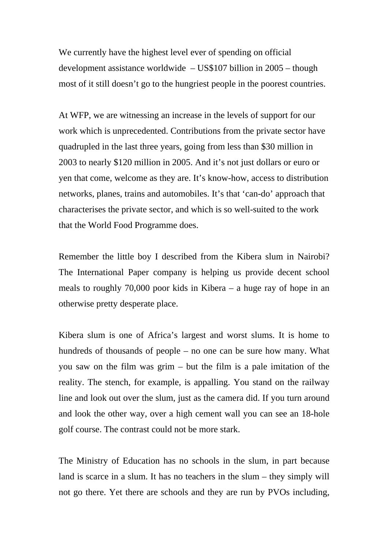We currently have the highest level ever of spending on official development assistance worldwide – US\$107 billion in 2005 – though most of it still doesn't go to the hungriest people in the poorest countries.

At WFP, we are witnessing an increase in the levels of support for our work which is unprecedented. Contributions from the private sector have quadrupled in the last three years, going from less than \$30 million in 2003 to nearly \$120 million in 2005. And it's not just dollars or euro or yen that come, welcome as they are. It's know-how, access to distribution networks, planes, trains and automobiles. It's that 'can-do' approach that characterises the private sector, and which is so well-suited to the work that the World Food Programme does.

Remember the little boy I described from the Kibera slum in Nairobi? The International Paper company is helping us provide decent school meals to roughly 70,000 poor kids in Kibera – a huge ray of hope in an otherwise pretty desperate place.

Kibera slum is one of Africa's largest and worst slums. It is home to hundreds of thousands of people – no one can be sure how many. What you saw on the film was grim – but the film is a pale imitation of the reality. The stench, for example, is appalling. You stand on the railway line and look out over the slum, just as the camera did. If you turn around and look the other way, over a high cement wall you can see an 18-hole golf course. The contrast could not be more stark.

The Ministry of Education has no schools in the slum, in part because land is scarce in a slum. It has no teachers in the slum – they simply will not go there. Yet there are schools and they are run by PVOs including,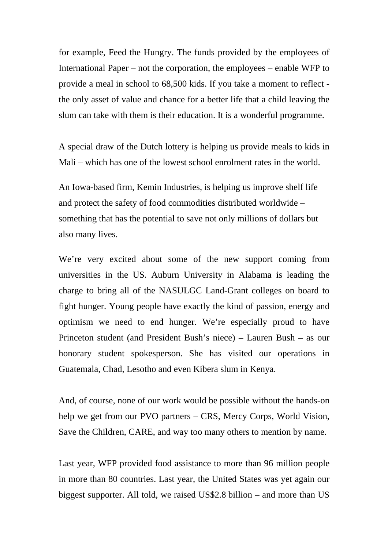for example, Feed the Hungry. The funds provided by the employees of International Paper – not the corporation, the employees – enable WFP to provide a meal in school to 68,500 kids. If you take a moment to reflect the only asset of value and chance for a better life that a child leaving the slum can take with them is their education. It is a wonderful programme.

A special draw of the Dutch lottery is helping us provide meals to kids in Mali – which has one of the lowest school enrolment rates in the world.

An Iowa-based firm, Kemin Industries, is helping us improve shelf life and protect the safety of food commodities distributed worldwide – something that has the potential to save not only millions of dollars but also many lives.

We're very excited about some of the new support coming from universities in the US. Auburn University in Alabama is leading the charge to bring all of the NASULGC Land-Grant colleges on board to fight hunger. Young people have exactly the kind of passion, energy and optimism we need to end hunger. We're especially proud to have Princeton student (and President Bush's niece) – Lauren Bush – as our honorary student spokesperson. She has visited our operations in Guatemala, Chad, Lesotho and even Kibera slum in Kenya.

And, of course, none of our work would be possible without the hands-on help we get from our PVO partners – CRS, Mercy Corps, World Vision, Save the Children, CARE, and way too many others to mention by name.

Last year, WFP provided food assistance to more than 96 million people in more than 80 countries. Last year, the United States was yet again our biggest supporter. All told, we raised US\$2.8 billion – and more than US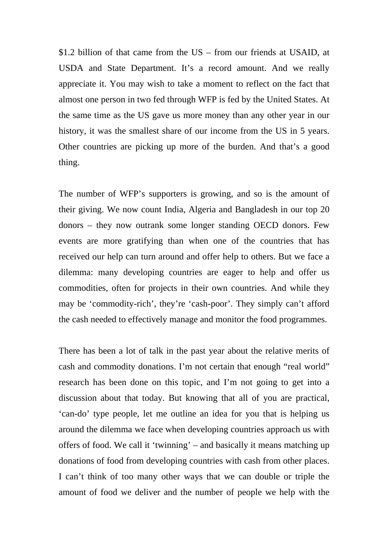\$1.2 billion of that came from the US – from our friends at USAID, at USDA and State Department. It's a record amount. And we really appreciate it. You may wish to take a moment to reflect on the fact that almost one person in two fed through WFP is fed by the United States. At the same time as the US gave us more money than any other year in our history, it was the smallest share of our income from the US in 5 years. Other countries are picking up more of the burden. And that's a good thing.

The number of WFP's supporters is growing, and so is the amount of their giving. We now count India, Algeria and Bangladesh in our top 20 donors – they now outrank some longer standing OECD donors. Few events are more gratifying than when one of the countries that has received our help can turn around and offer help to others. But we face a dilemma: many developing countries are eager to help and offer us commodities, often for projects in their own countries. And while they may be 'commodity-rich', they're 'cash-poor'. They simply can't afford the cash needed to effectively manage and monitor the food programmes.

There has been a lot of talk in the past year about the relative merits of cash and commodity donations. I'm not certain that enough "real world" research has been done on this topic, and I'm not going to get into a discussion about that today. But knowing that all of you are practical, 'can-do' type people, let me outline an idea for you that is helping us around the dilemma we face when developing countries approach us with offers of food. We call it 'twinning' – and basically it means matching up donations of food from developing countries with cash from other places. I can't think of too many other ways that we can double or triple the amount of food we deliver and the number of people we help with the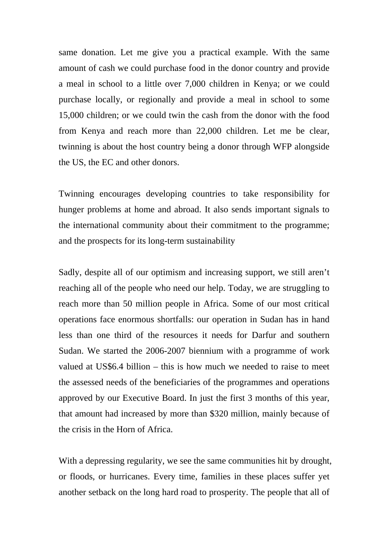same donation. Let me give you a practical example. With the same amount of cash we could purchase food in the donor country and provide a meal in school to a little over 7,000 children in Kenya; or we could purchase locally, or regionally and provide a meal in school to some 15,000 children; or we could twin the cash from the donor with the food from Kenya and reach more than 22,000 children. Let me be clear, twinning is about the host country being a donor through WFP alongside the US, the EC and other donors.

Twinning encourages developing countries to take responsibility for hunger problems at home and abroad. It also sends important signals to the international community about their commitment to the programme; and the prospects for its long-term sustainability

Sadly, despite all of our optimism and increasing support, we still aren't reaching all of the people who need our help. Today, we are struggling to reach more than 50 million people in Africa. Some of our most critical operations face enormous shortfalls: our operation in Sudan has in hand less than one third of the resources it needs for Darfur and southern Sudan. We started the 2006-2007 biennium with a programme of work valued at US\$6.4 billion – this is how much we needed to raise to meet the assessed needs of the beneficiaries of the programmes and operations approved by our Executive Board. In just the first 3 months of this year, that amount had increased by more than \$320 million, mainly because of the crisis in the Horn of Africa.

With a depressing regularity, we see the same communities hit by drought, or floods, or hurricanes. Every time, families in these places suffer yet another setback on the long hard road to prosperity. The people that all of